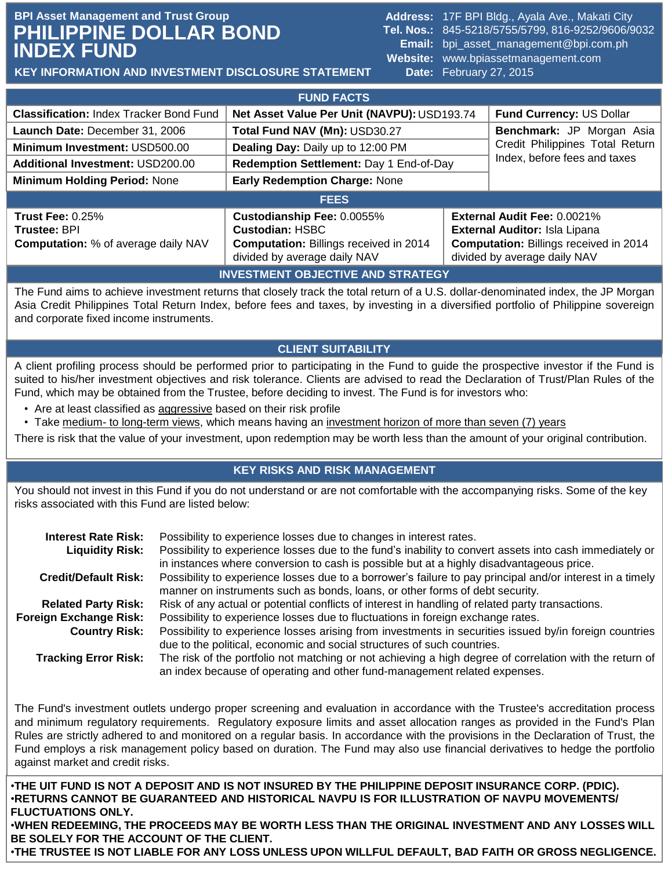# **BPI Asset Management and Trust Group Address: 17F BPI Bldg., Ayala Ave., Makati City Address: 17F BPI Bldg., Ayala Ave., Makati City PHILIPPINE DOLLAR BOND INDEX FUND**

**Tel. Nos.:** 845-5218/5755/5799, 816-9252/9606/9032 **Email:** bpi\_asset\_management@bpi.com.ph **Website:** www.bpiassetmanagement.com **Date:** February 27, 2015 1. Update Date: 1. Update Date: 1. Update Date: 1. Update

**KEY INFORMATION AND INVESTMENT DISCLOSURE STATEMENT**

|                                                                                              | <b>FUND FACTS</b>                                                                                                                     |                                                                 |                                                                                                                                               |  |
|----------------------------------------------------------------------------------------------|---------------------------------------------------------------------------------------------------------------------------------------|-----------------------------------------------------------------|-----------------------------------------------------------------------------------------------------------------------------------------------|--|
| <b>Classification: Index Tracker Bond Fund</b>                                               | Net Asset Value Per Unit (NAVPU): USD193.74                                                                                           |                                                                 | Fund Currency: US Dollar                                                                                                                      |  |
| Launch Date: December 31, 2006                                                               | Total Fund NAV (Mn): USD30.27                                                                                                         |                                                                 | Benchmark: JP Morgan Asia                                                                                                                     |  |
| Minimum Investment: USD500.00                                                                | Dealing Day: Daily up to 12:00 PM                                                                                                     | Credit Philippines Total Return<br>Index, before fees and taxes |                                                                                                                                               |  |
| <b>Additional Investment: USD200.00</b>                                                      | Redemption Settlement: Day 1 End-of-Day                                                                                               |                                                                 |                                                                                                                                               |  |
| <b>Minimum Holding Period: None</b>                                                          | <b>Early Redemption Charge: None</b>                                                                                                  |                                                                 |                                                                                                                                               |  |
|                                                                                              | <b>FEES</b>                                                                                                                           |                                                                 |                                                                                                                                               |  |
| <b>Trust Fee: 0.25%</b><br><b>Trustee: BPI</b><br><b>Computation:</b> % of average daily NAV | Custodianship Fee: 0.0055%<br><b>Custodian: HSBC</b><br><b>Computation: Billings received in 2014</b><br>divided by average daily NAV |                                                                 | External Audit Fee: 0.0021%<br>External Auditor: Isla Lipana<br><b>Computation: Billings received in 2014</b><br>divided by average daily NAV |  |
|                                                                                              | INDIFATNENT AR IFATULE AND ATRATEAV                                                                                                   |                                                                 |                                                                                                                                               |  |

#### **INVESTMENT OBJECTIVE AND STRATEGY**

The Fund aims to achieve investment returns that closely track the total return of a U.S. dollar-denominated index, the JP Morgan Asia Credit Philippines Total Return Index, before fees and taxes, by investing in a diversified portfolio of Philippine sovereign and corporate fixed income instruments.

## **CLIENT SUITABILITY**

A client profiling process should be performed prior to participating in the Fund to guide the prospective investor if the Fund is suited to his/her investment objectives and risk tolerance. Clients are advised to read the Declaration of Trust/Plan Rules of the Fund, which may be obtained from the Trustee, before deciding to invest. The Fund is for investors who:

- Are at least classified as aggressive based on their risk profile
- Take medium- to long-term views, which means having an investment horizon of more than seven (7) years

There is risk that the value of your investment, upon redemption may be worth less than the amount of your original contribution.

### **KEY RISKS AND RISK MANAGEMENT**

You should not invest in this Fund if you do not understand or are not comfortable with the accompanying risks. Some of the key risks associated with this Fund are listed below:

| <b>Interest Rate Risk:</b>  | Possibility to experience losses due to changes in interest rates.                                                                                                                                  |
|-----------------------------|-----------------------------------------------------------------------------------------------------------------------------------------------------------------------------------------------------|
| <b>Liquidity Risk:</b>      | Possibility to experience losses due to the fund's inability to convert assets into cash immediately or<br>in instances where conversion to cash is possible but at a highly disadvantageous price. |
| <b>Credit/Default Risk:</b> | Possibility to experience losses due to a borrower's failure to pay principal and/or interest in a timely<br>manner on instruments such as bonds, loans, or other forms of debt security.           |
| <b>Related Party Risk:</b>  | Risk of any actual or potential conflicts of interest in handling of related party transactions.                                                                                                    |
| Foreign Exchange Risk:      | Possibility to experience losses due to fluctuations in foreign exchange rates.                                                                                                                     |
| <b>Country Risk:</b>        | Possibility to experience losses arising from investments in securities issued by/in foreign countries<br>due to the political, economic and social structures of such countries.                   |
|                             |                                                                                                                                                                                                     |
| <b>Tracking Error Risk:</b> | The risk of the portfolio not matching or not achieving a high degree of correlation with the return of<br>an index because of operating and other fund-management related expenses.                |

The Fund's investment outlets undergo proper screening and evaluation in accordance with the Trustee's accreditation process and minimum regulatory requirements. Regulatory exposure limits and asset allocation ranges as provided in the Fund's Plan Rules are strictly adhered to and monitored on a regular basis. In accordance with the provisions in the Declaration of Trust, the Fund employs a risk management policy based on duration. The Fund may also use financial derivatives to hedge the portfolio against market and credit risks.

•**THE UIT FUND IS NOT A DEPOSIT AND IS NOT INSURED BY THE PHILIPPINE DEPOSIT INSURANCE CORP. (PDIC).** •**RETURNS CANNOT BE GUARANTEED AND HISTORICAL NAVPU IS FOR ILLUSTRATION OF NAVPU MOVEMENTS/ FLUCTUATIONS ONLY.**

•**WHEN REDEEMING, THE PROCEEDS MAY BE WORTH LESS THAN THE ORIGINAL INVESTMENT AND ANY LOSSES WILL BE SOLELY FOR THE ACCOUNT OF THE CLIENT.**

•**THE TRUSTEE IS NOT LIABLE FOR ANY LOSS UNLESS UPON WILLFUL DEFAULT, BAD FAITH OR GROSS NEGLIGENCE.**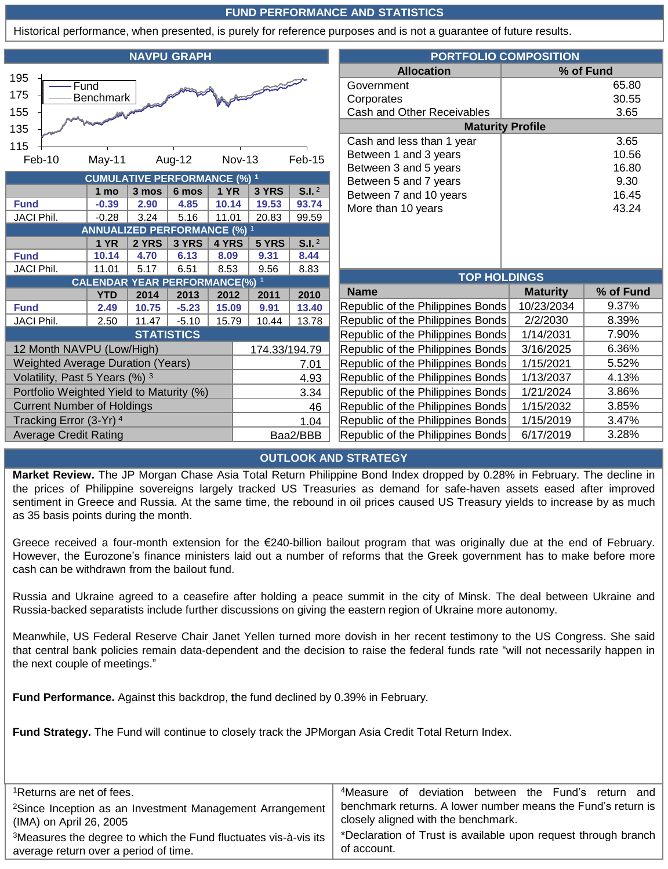### **FUND PERFORMANCE AND STATISTICS**

Historical performance, when presented, is purely for reference purposes and is not a guarantee of future results.

| <b>NAVPU GRAPH</b>                               |                                                    |       |         | <b>PORTFOLIO COMPOSITION</b>      |                                   |                                                |                                   |                 |           |
|--------------------------------------------------|----------------------------------------------------|-------|---------|-----------------------------------|-----------------------------------|------------------------------------------------|-----------------------------------|-----------------|-----------|
|                                                  |                                                    |       |         |                                   |                                   |                                                | <b>Allocation</b>                 |                 | % of Fund |
| 195<br>Fund                                      |                                                    |       |         |                                   |                                   | Government                                     | 65.80                             |                 |           |
| 175<br>Benchmark                                 |                                                    |       |         |                                   |                                   | Corporates                                     | 30.55                             |                 |           |
| 155                                              |                                                    |       |         |                                   |                                   | Cash and Other Receivables                     | 3.65                              |                 |           |
| 135                                              |                                                    |       |         |                                   |                                   | <b>Maturity Profile</b>                        |                                   |                 |           |
| 115                                              |                                                    |       |         |                                   |                                   |                                                | Cash and less than 1 year         |                 | 3.65      |
| Feb-10                                           | May-11                                             |       | Aug-12  | <b>Nov-13</b>                     |                                   | Feb-15                                         | Between 1 and 3 years             |                 | 10.56     |
|                                                  |                                                    |       |         |                                   |                                   |                                                | Between 3 and 5 years             |                 | 16.80     |
| <b>CUMULATIVE PERFORMANCE (%) 1</b>              |                                                    |       |         |                                   |                                   | Between 5 and 7 years                          | 9.30                              |                 |           |
|                                                  | 1 mo                                               | 3 mos | 6 mos   | <b>1 YR</b>                       | 3 YRS                             | S.I. <sup>2</sup>                              | Between 7 and 10 years            |                 | 16.45     |
| <b>Fund</b>                                      | $-0.39$                                            | 2.90  | 4.85    | 10.14                             | 19.53                             | 93.74                                          | More than 10 years                | 43.24           |           |
| <b>JACI Phil.</b>                                | $-0.28$                                            | 3.24  | 5.16    | 11.01                             | 20.83                             | 99.59                                          |                                   |                 |           |
|                                                  | <b>ANNUALIZED PERFORMANCE (%) 1</b><br><b>1 YR</b> | 2 YRS | 3 YRS   | 4 YRS                             | 5 YRS                             | S.I. <sup>2</sup>                              |                                   |                 |           |
| <b>Fund</b>                                      | 10.14                                              | 4.70  | 6.13    | 8.09                              | 9.31                              | 8.44                                           |                                   |                 |           |
| JACI Phil.                                       | 11.01                                              | 5.17  | 6.51    | 8.53                              | 9.56                              | 8.83                                           |                                   |                 |           |
| <b>CALENDAR YEAR PERFORMANCE(%) 1</b>            |                                                    |       |         |                                   |                                   | <b>TOP HOLDINGS</b>                            |                                   |                 |           |
|                                                  | <b>YTD</b>                                         | 2014  | 2013    | 2012                              | 2011                              | 2010                                           | <b>Name</b>                       | <b>Maturity</b> | % of Fund |
| <b>Fund</b>                                      | 2.49                                               | 10.75 | $-5.23$ | 15.09                             | 9.91                              | 13.40                                          | Republic of the Philippines Bonds | 10/23/2034      | 9.37%     |
| <b>JACI Phil.</b>                                | 2.50                                               | 11.47 | $-5.10$ | 15.79                             | 10.44                             | 13.78                                          | Republic of the Philippines Bonds | 2/2/2030        | 8.39%     |
| <b>STATISTICS</b>                                |                                                    |       |         |                                   |                                   | Republic of the Philippines Bonds              | 1/14/2031                         | 7.90%           |           |
| 12 Month NAVPU (Low/High)<br>174.33/194.79       |                                                    |       |         | Republic of the Philippines Bonds | 3/16/2025                         | 6.36%                                          |                                   |                 |           |
| <b>Weighted Average Duration (Years)</b><br>7.01 |                                                    |       |         | Republic of the Philippines Bonds | 1/15/2021                         | 5.52%                                          |                                   |                 |           |
| Volatility, Past 5 Years (%) 3                   |                                                    |       |         | 4.93                              |                                   | 1/13/2037<br>Republic of the Philippines Bonds |                                   | 4.13%           |           |
| Portfolio Weighted Yield to Maturity (%)         |                                                    |       |         | 3.34                              |                                   | Republic of the Philippines Bonds              | 1/21/2024                         | 3.86%           |           |
| <b>Current Number of Holdings</b>                |                                                    |       | 46      |                                   | Republic of the Philippines Bonds | 1/15/2032                                      | 3.85%                             |                 |           |
| Tracking Error (3-Yr) 4                          |                                                    |       |         | 1.04                              | Republic of the Philippines Bonds | 1/15/2019                                      | 3.47%                             |                 |           |
| <b>Average Credit Rating</b>                     |                                                    |       |         | Baa2/BBB                          |                                   | Republic of the Philippines Bonds              | 6/17/2019                         | 3.28%           |           |

#### **OUTLOOK AND STRATEGY**

**Market Review.** The JP Morgan Chase Asia Total Return Philippine Bond Index dropped by 0.28% in February. The decline in the prices of Philippine sovereigns largely tracked US Treasuries as demand for safe-haven assets eased after improved sentiment in Greece and Russia. At the same time, the rebound in oil prices caused US Treasury yields to increase by as much as 35 basis points during the month.

Greece received a four-month extension for the  $E$ 240-billion bailout program that was originally due at the end of February. However, the Eurozone's finance ministers laid out a number of reforms that the Greek government has to make before more cash can be withdrawn from the bailout fund.

Russia and Ukraine agreed to a ceasefire after holding a peace summit in the city of Minsk. The deal between Ukraine and Russia-backed separatists include further discussions on giving the eastern region of Ukraine more autonomy.

Meanwhile, US Federal Reserve Chair Janet Yellen turned more dovish in her recent testimony to the US Congress. She said that central bank policies remain data-dependent and the decision to raise the federal funds rate "will not necessarily happen in the next couple of meetings."

**Fund Performance.** Against this backdrop, **t**he fund declined by 0.39% in February.

**Fund Strategy.** The Fund will continue to closely track the JPMorgan Asia Credit Total Return Index.

| <sup>1</sup> Returns are net of fees.                                       | <sup>4</sup> Measure of deviation between the Fund's return and |  |  |  |  |  |
|-----------------------------------------------------------------------------|-----------------------------------------------------------------|--|--|--|--|--|
| <sup>2</sup> Since Inception as an Investment Management Arrangement        | benchmark returns. A lower number means the Fund's return is    |  |  |  |  |  |
| (IMA) on April 26, 2005                                                     | closely aligned with the benchmark.                             |  |  |  |  |  |
| <sup>3</sup> Measures the degree to which the Fund fluctuates vis-à-vis its | *Declaration of Trust is available upon request through branch  |  |  |  |  |  |
| average return over a period of time.                                       | of account.                                                     |  |  |  |  |  |